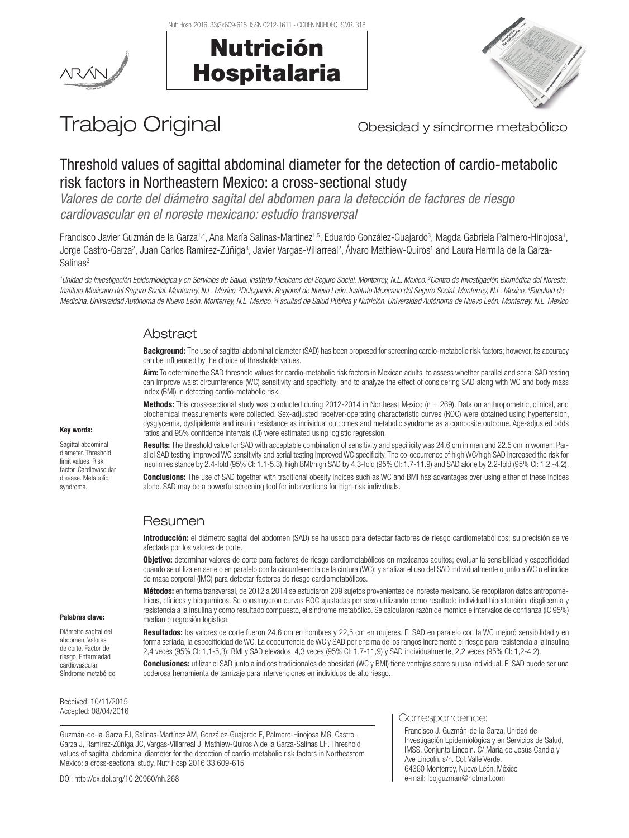Nutr Hosp. 2016; 33(3):609-615 ISSN 0212-1611 - CODEN NUHOEQ S.V.R. 318

Nutrición

Hospitalaria





# Trabajo Original **Trabajo Original** Obesidad y síndrome metabólico

# Threshold values of sagittal abdominal diameter for the detection of cardio-metabolic risk factors in Northeastern Mexico: a cross-sectional study

*Valores de corte del diámetro sagital del abdomen para la detección de factores de riesgo cardiovascular en el noreste mexicano: estudio transversal*

Francisco Javier Guzmán de la Garza<sup>1,4</sup>, Ana María Salinas-Martínez<sup>1,5</sup>, Eduardo González-Guajardo<sup>3</sup>, Magda Gabriela Palmero-Hinojosa<sup>1</sup>, Jorge Castro-Garza?, Juan Carlos Ramírez-Zúñiga<sup>3</sup>, Javier Vargas-Villarreal<sup>2</sup>, Álvaro Mathiew-Quiros' and Laura Hermila de la Garza-Salinas<sup>3</sup>

*1 Unidad de Investigación Epidemiológica y en Servicios de Salud. Instituto Mexicano del Seguro Social. Monterrey, N.L. Mexico. 2 Centro de Investigación Biomédica del Noreste. Instituto Mexicano del Seguro Social. Monterrey, N.L. Mexico. 3 Delegación Regional de Nuevo León. Instituto Mexicano del Seguro Social. Monterrey, N.L. Mexico. 4 Facultad de*  Medicina. Universidad Autónoma de Nuevo León. Monterrey, N.L. Mexico. <sup>s</sup>Facultad de Salud Pública y Nutrición. Universidad Autónoma de Nuevo León. Monterrey, N.L. Mexico

## Abstract

Background: The use of sagittal abdominal diameter (SAD) has been proposed for screening cardio-metabolic risk factors; however, its accuracy can be influenced by the choice of thresholds values.

Aim: To determine the SAD threshold values for cardio-metabolic risk factors in Mexican adults; to assess whether parallel and serial SAD testing can improve waist circumference (WC) sensitivity and specificity; and to analyze the effect of considering SAD along with WC and body mass index (BMI) in detecting cardio-metabolic risk.

Methods: This cross-sectional study was conducted during 2012-2014 in Northeast Mexico (n = 269). Data on anthropometric, clinical, and biochemical measurements were collected. Sex-adjusted receiver-operating characteristic curves (ROC) were obtained using hypertension, dysglycemia, dyslipidemia and insulin resistance as individual outcomes and metabolic syndrome as a composite outcome. Age-adjusted odds ratios and 95% confidence intervals (CI) were estimated using logistic regression.

Sagittal abdominal

Results: The threshold value for SAD with acceptable combination of sensitivity and specificity was 24.6 cm in men and 22.5 cm in women. Parallel SAD testing improved WC sensitivity and serial testing improved WC specificity. The co-occurrence of high WC/high SAD increased the risk for insulin resistance by 2.4-fold (95% CI: 1.1-5.3), high BMI/high SAD by 4.3-fold (95% CI: 1.7-11.9) and SAD alone by 2.2-fold (95% CI: 1.2.-4.2). Conclusions: The use of SAD together with traditional obesity indices such as WC and BMI has advantages over using either of these indices alone. SAD may be a powerful screening tool for interventions for high-risk individuals.

# Resumen

Introducción: el diámetro sagital del abdomen (SAD) se ha usado para detectar factores de riesgo cardiometabólicos; su precisión se ve afectada por los valores de corte.

Objetivo: determinar valores de corte para factores de riesgo cardiometabólicos en mexicanos adultos; evaluar la sensibilidad y especificidad cuando se utiliza en serie o en paralelo con la circunferencia de la cintura (WC); y analizar el uso del SAD individualmente o junto a WC o el índice de masa corporal (IMC) para detectar factores de riesgo cardiometabólicos.

Métodos: en forma transversal, de 2012 a 2014 se estudiaron 209 sujetos provenientes del noreste mexicano. Se recopilaron datos antropométricos, clínicos y bioquímicos. Se construyeron curvas ROC ajustadas por sexo utilizando como resultado individual hipertensión, disglicemia y resistencia a la insulina y como resultado compuesto, el síndrome metabólico. Se calcularon razón de momios e intervalos de confianza (IC 95%) mediante regresión logística.

Resultados: los valores de corte fueron 24,6 cm en hombres y 22,5 cm en mujeres. El SAD en paralelo con la WC mejoró sensibilidad y en forma seriada, la especificidad de WC. La coocurrencia de WC y SAD por encima de los rangos incrementó el riesgo para resistencia a la insulina 2,4 veces (95% CI: 1,1-5,3); BMI y SAD elevados, 4,3 veces (95% CI: 1,7-11,9) y SAD individualmente, 2,2 veces (95% CI: 1,2-4,2).

Conclusiones: utilizar el SAD junto a índices tradicionales de obesidad (WC y BMI) tiene ventajas sobre su uso individual. El SAD puede ser una poderosa herramienta de tamizaje para intervenciones en individuos de alto riesgo.

Received: 10/11/2015

Palabras clave: Diámetro sagital del abdomen. Valores de corte. Factor de riesgo. Enfermedad cardiovascular. Síndrome metabólico.

Guzmán-de-la-Garza FJ, Salinas-Martínez AM, González-Guajardo E, Palmero-Hinojosa MG, Castro-Garza J, Ramírez-Zúñiga JC, Vargas-Villarreal J, Mathiew-Quiros A,de la Garza-Salinas LH. Threshold values of sagittal abdominal diameter for the detection of cardio-metabolic risk factors in Northeastern Mexico: a cross-sectional study. Nutr Hosp 2016;33:609-615

DOI: http://dx.doi.org/10.20960/nh.268

# Accepted: 08/04/2016 **Correspondence:** Correspondence:

Francisco J. Guzmán-de la Garza. Unidad de Investigación Epidemiológica y en Servicios de Salud, IMSS. Conjunto Lincoln. C/ María de Jesús Candia y Ave Lincoln, s/n. Col. Valle Verde. 64360 Monterrey, Nuevo León. México e-mail: fcojguzman@hotmail.com

#### Key words:

diameter. Threshold limit values. Risk factor. Cardiovascular disease. Metabolic syndrome.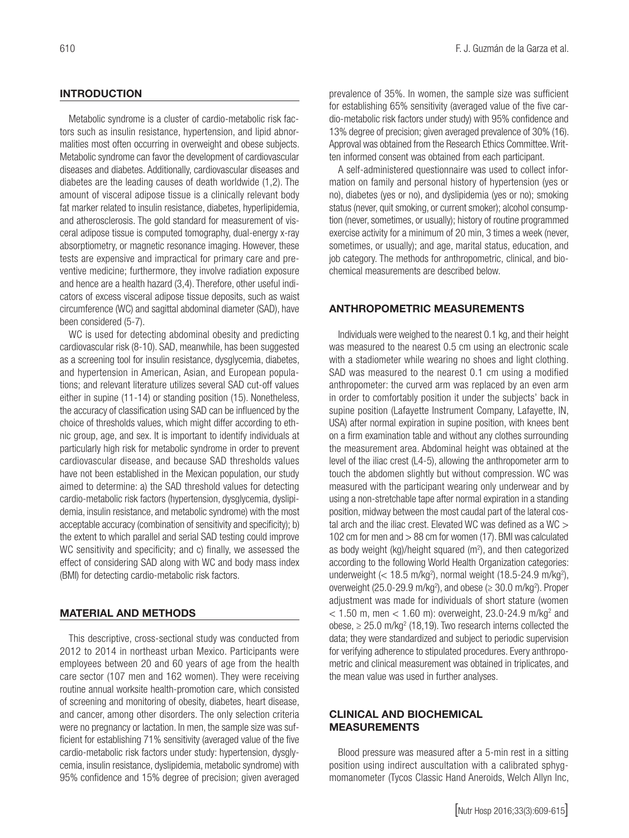#### **INTRODUCTION**

Metabolic syndrome is a cluster of cardio-metabolic risk factors such as insulin resistance, hypertension, and lipid abnormalities most often occurring in overweight and obese subjects. Metabolic syndrome can favor the development of cardiovascular diseases and diabetes. Additionally, cardiovascular diseases and diabetes are the leading causes of death worldwide (1,2). The amount of visceral adipose tissue is a clinically relevant body fat marker related to insulin resistance, diabetes, hyperlipidemia, and atherosclerosis. The gold standard for measurement of visceral adipose tissue is computed tomography, dual-energy x-ray absorptiometry, or magnetic resonance imaging. However, these tests are expensive and impractical for primary care and preventive medicine; furthermore, they involve radiation exposure and hence are a health hazard (3,4). Therefore, other useful indicators of excess visceral adipose tissue deposits, such as waist circumference (WC) and sagittal abdominal diameter (SAD), have been considered (5-7).

WC is used for detecting abdominal obesity and predicting cardiovascular risk (8-10). SAD, meanwhile, has been suggested as a screening tool for insulin resistance, dysglycemia, diabetes, and hypertension in American, Asian, and European populations; and relevant literature utilizes several SAD cut-off values either in supine (11-14) or standing position (15). Nonetheless, the accuracy of classification using SAD can be influenced by the choice of thresholds values, which might differ according to ethnic group, age, and sex. It is important to identify individuals at particularly high risk for metabolic syndrome in order to prevent cardiovascular disease, and because SAD thresholds values have not been established in the Mexican population, our study aimed to determine: a) the SAD threshold values for detecting cardio-metabolic risk factors (hypertension, dysglycemia, dyslipidemia, insulin resistance, and metabolic syndrome) with the most acceptable accuracy (combination of sensitivity and specificity); b) the extent to which parallel and serial SAD testing could improve WC sensitivity and specificity; and c) finally, we assessed the effect of considering SAD along with WC and body mass index (BMI) for detecting cardio-metabolic risk factors.

#### MATERIAL AND METHODS

This descriptive, cross-sectional study was conducted from 2012 to 2014 in northeast urban Mexico. Participants were employees between 20 and 60 years of age from the health care sector (107 men and 162 women). They were receiving routine annual worksite health-promotion care, which consisted of screening and monitoring of obesity, diabetes, heart disease, and cancer, among other disorders. The only selection criteria were no pregnancy or lactation. In men, the sample size was sufficient for establishing 71% sensitivity (averaged value of the five cardio-metabolic risk factors under study: hypertension, dysglycemia, insulin resistance, dyslipidemia, metabolic syndrome) with 95% confidence and 15% degree of precision; given averaged

prevalence of 35%. In women, the sample size was sufficient for establishing 65% sensitivity (averaged value of the five cardio-metabolic risk factors under study) with 95% confidence and 13% degree of precision; given averaged prevalence of 30% (16). Approval was obtained from the Research Ethics Committee. Written informed consent was obtained from each participant.

A self-administered questionnaire was used to collect information on family and personal history of hypertension (yes or no), diabetes (yes or no), and dyslipidemia (yes or no); smoking status (never, quit smoking, or current smoker); alcohol consumption (never, sometimes, or usually); history of routine programmed exercise activity for a minimum of 20 min, 3 times a week (never, sometimes, or usually); and age, marital status, education, and job category. The methods for anthropometric, clinical, and biochemical measurements are described below.

#### ANTHROPOMETRIC MEASUREMENTS

Individuals were weighed to the nearest 0.1 kg, and their height was measured to the nearest 0.5 cm using an electronic scale with a stadiometer while wearing no shoes and light clothing. SAD was measured to the nearest 0.1 cm using a modified anthropometer: the curved arm was replaced by an even arm in order to comfortably position it under the subjects' back in supine position (Lafayette Instrument Company, Lafayette, IN, USA) after normal expiration in supine position, with knees bent on a firm examination table and without any clothes surrounding the measurement area. Abdominal height was obtained at the level of the iliac crest (L4-5), allowing the anthropometer arm to touch the abdomen slightly but without compression. WC was measured with the participant wearing only underwear and by using a non-stretchable tape after normal expiration in a standing position, midway between the most caudal part of the lateral costal arch and the iliac crest. Elevated WC was defined as a WC > 102 cm for men and > 88 cm for women (17). BMI was calculated as body weight  $(kg)/$ height squared  $(m<sup>2</sup>)$ , and then categorized according to the following World Health Organization categories: underweight  $\left($  < 18.5 m/kg<sup>2</sup>), normal weight (18.5-24.9 m/kg<sup>2</sup>), overweight (25.0-29.9 m/kg<sup>2</sup>), and obese ( $\geq$  30.0 m/kg<sup>2</sup>). Proper adjustment was made for individuals of short stature (women  $<$  1.50 m, men  $<$  1.60 m): overweight, 23.0-24.9 m/kg<sup>2</sup> and obese,  $\geq 25.0$  m/kg<sup>2</sup> (18,19). Two research interns collected the data; they were standardized and subject to periodic supervision for verifying adherence to stipulated procedures. Every anthropometric and clinical measurement was obtained in triplicates, and the mean value was used in further analyses.

#### CLINICAL AND BIOCHEMICAL MEASUREMENTS

Blood pressure was measured after a 5-min rest in a sitting position using indirect auscultation with a calibrated sphygmomanometer (Tycos Classic Hand Aneroids, Welch Allyn Inc,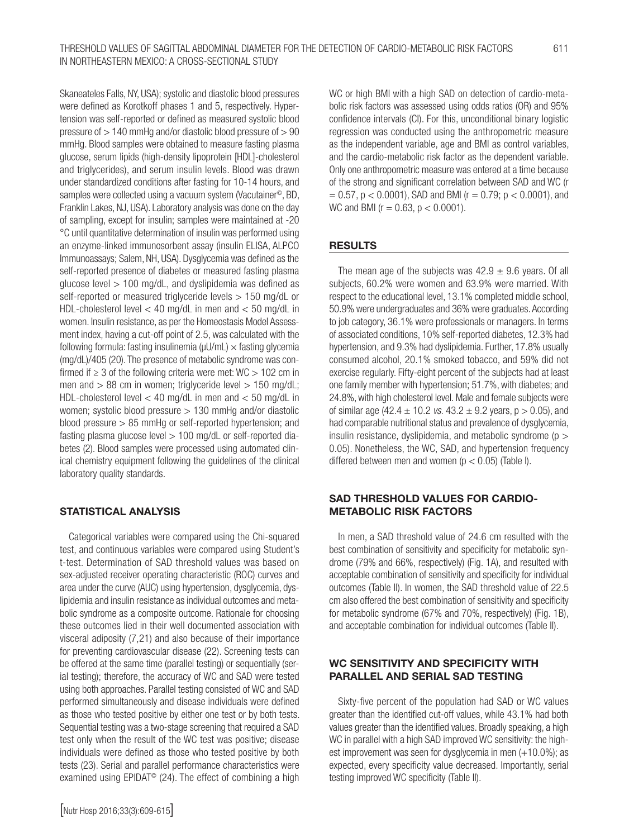Skaneateles Falls, NY, USA); systolic and diastolic blood pressures were defined as Korotkoff phases 1 and 5, respectively. Hypertension was self-reported or defined as measured systolic blood pressure of > 140 mmHg and/or diastolic blood pressure of > 90 mmHg. Blood samples were obtained to measure fasting plasma glucose, serum lipids (high-density lipoprotein [HDL]-cholesterol and triglycerides), and serum insulin levels. Blood was drawn under standardized conditions after fasting for 10-14 hours, and samples were collected using a vacuum system (Vacutainer<sup>®</sup>, BD, Franklin Lakes, NJ, USA). Laboratory analysis was done on the day of sampling, except for insulin; samples were maintained at -20 °C until quantitative determination of insulin was performed using an enzyme-linked immunosorbent assay (insulin ELISA, ALPCO Immunoassays; Salem, NH, USA). Dysglycemia was defined as the self-reported presence of diabetes or measured fasting plasma glucose level > 100 mg/dL, and dyslipidemia was defined as self-reported or measured triglyceride levels > 150 mg/dL or HDL-cholesterol level < 40 mg/dL in men and < 50 mg/dL in women. Insulin resistance, as per the Homeostasis Model Assessment index, having a cut-off point of 2.5, was calculated with the following formula: fasting insulinemia ( $\mu$ U/mL)  $\times$  fasting glycemia (mg/dL)/405 (20). The presence of metabolic syndrome was confirmed if  $\geq 3$  of the following criteria were met: WC  $> 102$  cm in men and  $> 88$  cm in women; triglyceride level  $> 150$  mg/dL; HDL-cholesterol level < 40 mg/dL in men and < 50 mg/dL in women; systolic blood pressure > 130 mmHg and/or diastolic blood pressure > 85 mmHg or self-reported hypertension; and fasting plasma glucose level  $> 100$  mg/dL or self-reported diabetes (2). Blood samples were processed using automated clinical chemistry equipment following the guidelines of the clinical laboratory quality standards.

## STATISTICAL ANALYSIS

Categorical variables were compared using the Chi-squared test, and continuous variables were compared using Student's t-test. Determination of SAD threshold values was based on sex-adjusted receiver operating characteristic (ROC) curves and area under the curve (AUC) using hypertension, dysglycemia, dyslipidemia and insulin resistance as individual outcomes and metabolic syndrome as a composite outcome. Rationale for choosing these outcomes lied in their well documented association with visceral adiposity (7,21) and also because of their importance for preventing cardiovascular disease (22). Screening tests can be offered at the same time (parallel testing) or sequentially (serial testing); therefore, the accuracy of WC and SAD were tested using both approaches. Parallel testing consisted of WC and SAD performed simultaneously and disease individuals were defined as those who tested positive by either one test or by both tests. Sequential testing was a two-stage screening that required a SAD test only when the result of the WC test was positive; disease individuals were defined as those who tested positive by both tests (23). Serial and parallel performance characteristics were examined using EPIDAT<sup>®</sup> (24). The effect of combining a high WC or high BMI with a high SAD on detection of cardio-metabolic risk factors was assessed using odds ratios (OR) and 95% confidence intervals (CI). For this, unconditional binary logistic regression was conducted using the anthropometric measure as the independent variable, age and BMI as control variables, and the cardio-metabolic risk factor as the dependent variable. Only one anthropometric measure was entered at a time because of the strong and significant correlation between SAD and WC (r  $= 0.57$ ,  $p < 0.0001$ ), SAD and BMI ( $r = 0.79$ ;  $p < 0.0001$ ), and WC and BMI ( $r = 0.63$ ,  $p < 0.0001$ ).

#### RESULTS

The mean age of the subjects was  $42.9 \pm 9.6$  years. Of all subjects, 60.2% were women and 63.9% were married. With respect to the educational level, 13.1% completed middle school, 50.9% were undergraduates and 36% were graduates. According to job category, 36.1% were professionals or managers. In terms of associated conditions, 10% self-reported diabetes, 12.3% had hypertension, and 9.3% had dyslipidemia. Further, 17.8% usually consumed alcohol, 20.1% smoked tobacco, and 59% did not exercise regularly. Fifty-eight percent of the subjects had at least one family member with hypertension; 51.7%, with diabetes; and 24.8%, with high cholesterol level. Male and female subjects were of similar age  $(42.4 \pm 10.2 \text{ vs. } 43.2 \pm 9.2 \text{ years}, p > 0.05)$ , and had comparable nutritional status and prevalence of dysglycemia, insulin resistance, dyslipidemia, and metabolic syndrome ( $p >$ 0.05). Nonetheless, the WC, SAD, and hypertension frequency differed between men and women ( $p < 0.05$ ) (Table I).

#### SAD THRESHOLD VALUES FOR CARDIO-METABOLIC RISK FACTORS

In men, a SAD threshold value of 24.6 cm resulted with the best combination of sensitivity and specificity for metabolic syndrome (79% and 66%, respectively) (Fig. 1A), and resulted with acceptable combination of sensitivity and specificity for individual outcomes (Table II). In women, the SAD threshold value of 22.5 cm also offered the best combination of sensitivity and specificity for metabolic syndrome (67% and 70%, respectively) (Fig. 1B), and acceptable combination for individual outcomes (Table II).

#### WC SENSITIVITY AND SPECIFICITY WITH PARALLEL AND SERIAL SAD TESTING

Sixty-five percent of the population had SAD or WC values greater than the identified cut-off values, while 43.1% had both values greater than the identified values. Broadly speaking, a high WC in parallel with a high SAD improved WC sensitivity: the highest improvement was seen for dysglycemia in men (+10.0%); as expected, every specificity value decreased. Importantly, serial testing improved WC specificity (Table II).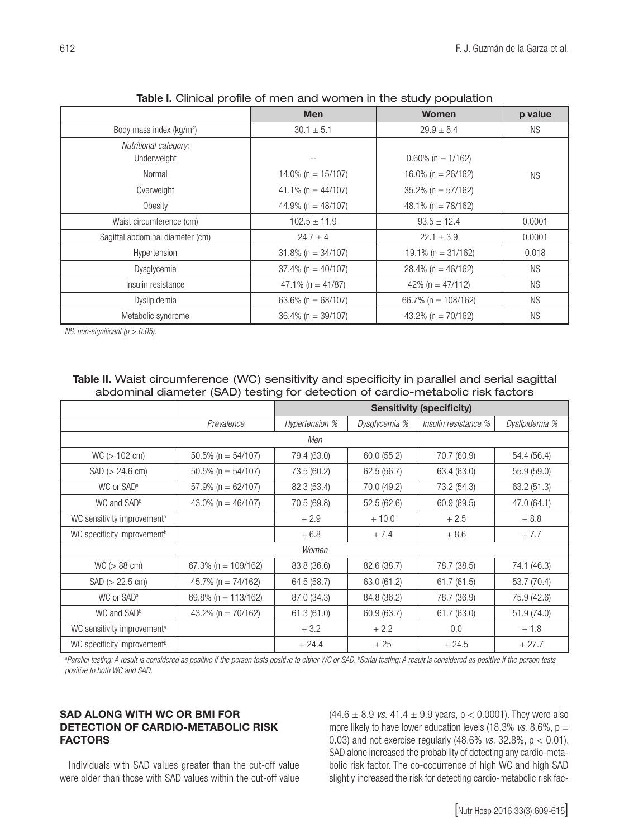|                                      | <b>Men</b>             | <b>Women</b>            | p value   |
|--------------------------------------|------------------------|-------------------------|-----------|
| Body mass index (kg/m <sup>2</sup> ) | $30.1 \pm 5.1$         | $29.9 \pm 5.4$          | NS.       |
| Nutritional category:<br>Underweight |                        | $0.60\%$ (n = 1/162)    |           |
| Normal                               | $14.0\%$ (n = 15/107)  | 16.0% (n = $26/162$ )   | <b>NS</b> |
| Overweight                           | 41.1% (n = $44/107$ )  | $35.2\%$ (n = 57/162)   |           |
| Obesity                              | 44.9% (n = $48/107$ )  | 48.1% ( $n = 78/162$ )  |           |
| Waist circumference (cm)             | $102.5 \pm 11.9$       | $93.5 \pm 12.4$         | 0.0001    |
| Sagittal abdominal diameter (cm)     | $24.7 \pm 4$           | $22.1 \pm 3.9$          | 0.0001    |
| Hypertension                         | $31.8\%$ (n = 34/107)  | 19.1% ( $n = 31/162$ )  | 0.018     |
| <b>Dysglycemia</b>                   | $37.4\%$ (n = 40/107)  | $28.4\%$ (n = 46/162)   | <b>NS</b> |
| Insulin resistance                   | $47.1\%$ (n = 41/87)   | 42% ( $n = 47/112$ )    | <b>NS</b> |
| Dyslipidemia                         | 63.6% ( $n = 68/107$ ) | 66.7% ( $n = 108/162$ ) | <b>NS</b> |
| Metabolic syndrome                   | $36.4\%$ (n = 39/107)  | 43.2% (n = $70/162$ )   | <b>NS</b> |

Table I. Clinical profile of men and women in the study population

*NS: non-significant (p > 0.05).*

#### Table II. Waist circumference (WC) sensitivity and specificity in parallel and serial sagittal abdominal diameter (SAD) testing for detection of cardio-metabolic risk factors

|                                         |                         | <b>Sensitivity (specificity)</b> |               |                      |                |
|-----------------------------------------|-------------------------|----------------------------------|---------------|----------------------|----------------|
|                                         | Prevalence              | Hypertension %                   | Dysglycemia % | Insulin resistance % | Dyslipidemia % |
|                                         |                         | Men                              |               |                      |                |
| WC (> 102 cm)                           | $50.5\%$ (n = 54/107)   | 79.4 (63.0)                      | 60.0 (55.2)   | 70.7 (60.9)          | 54.4 (56.4)    |
| SAD (> 24.6 cm)                         | $50.5\%$ (n = 54/107)   | 73.5 (60.2)                      | 62.5 (56.7)   | 63.4 (63.0)          | 55.9(59.0)     |
| WC or SAD <sup>a</sup>                  | $57.9\%$ (n = 62/107)   | 82.3 (53.4)                      | 70.0 (49.2)   | 73.2 (54.3)          | 63.2 (51.3)    |
| WC and SAD <sup>b</sup>                 | 43.0% (n = $46/107$ )   | 70.5 (69.8)                      | 52.5(62.6)    | 60.9 (69.5)          | 47.0 (64.1)    |
| WC sensitivity improvement <sup>a</sup> |                         | $+2.9$                           | $+10.0$       | $+2.5$               | $+8.8$         |
| WC specificity improvement <sup>b</sup> |                         | $+6.8$                           | $+7.4$        | $+8.6$               | $+7.7$         |
| Women                                   |                         |                                  |               |                      |                |
| WC (> 88 cm)                            | 67.3% ( $n = 109/162$ ) | 83.8 (36.6)                      | 82.6 (38.7)   | 78.7 (38.5)          | 74.1 (46.3)    |
| SAD (> 22.5 cm)                         | $45.7\%$ (n = 74/162)   | 64.5 (58.7)                      | 63.0 (61.2)   | 61.7(61.5)           | 53.7 (70.4)    |
| WC or SAD <sup>a</sup>                  | 69.8% (n = $113/162$ )  | 87.0 (34.3)                      | 84.8 (36.2)   | 78.7 (36.9)          | 75.9 (42.6)    |
| WC and SAD <sup>b</sup>                 | 43.2% (n = $70/162$ )   | 61.3(61.0)                       | 60.9 (63.7)   | 61.7 (63.0)          | 51.9(74.0)     |
| WC sensitivity improvement <sup>a</sup> |                         | $+3.2$                           | $+2.2$        | 0.0                  | $+1.8$         |
| WC specificity improvement <sup>b</sup> |                         | $+24.4$                          | $+25$         | $+24.5$              | $+27.7$        |

<sup>a</sup>Parallel testing: A result is considered as positive if the person tests positive to either WC or SAD. <sup>b</sup>Serial testing: A result is considered as positive if the person tests *positive to both WC and SAD.*

### SAD ALONG WITH WC OR BMI FOR DETECTION OF CARDIO-METABOLIC RISK FACTORS

Individuals with SAD values greater than the cut-off value were older than those with SAD values within the cut-off value

 $(44.6 \pm 8.9 \text{ vs. } 41.4 \pm 9.9 \text{ years}, p < 0.0001)$ . They were also more likely to have lower education levels (18.3%  $vs. 8.6\%$ , p = 0.03) and not exercise regularly (48.6% *vs.* 32.8%, p < 0.01). SAD alone increased the probability of detecting any cardio-metabolic risk factor. The co-occurrence of high WC and high SAD slightly increased the risk for detecting cardio-metabolic risk fac-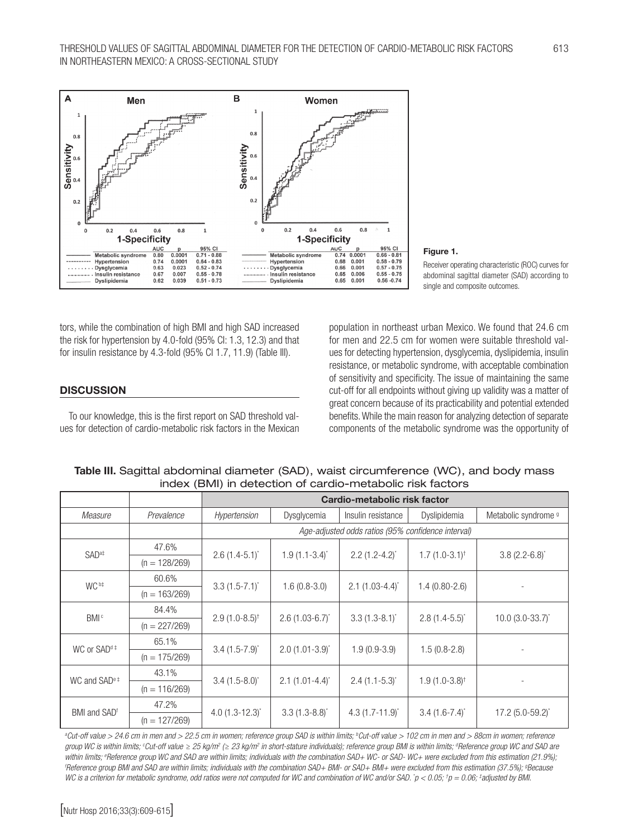

#### Figure 1.

Receiver operating characteristic (ROC) curves for abdominal sagittal diameter (SAD) according to single and composite outcomes.

tors, while the combination of high BMI and high SAD increased the risk for hypertension by 4.0-fold (95% CI: 1.3, 12.3) and that for insulin resistance by 4.3-fold (95% CI 1.7, 11.9) (Table III).

#### **DISCUSSION**

To our knowledge, this is the first report on SAD threshold values for detection of cardio-metabolic risk factors in the Mexican population in northeast urban Mexico. We found that 24.6 cm for men and 22.5 cm for women were suitable threshold values for detecting hypertension, dysglycemia, dyslipidemia, insulin resistance, or metabolic syndrome, with acceptable combination of sensitivity and specificity. The issue of maintaining the same cut-off for all endpoints without giving up validity was a matter of great concern because of its practicability and potential extended benefits. While the main reason for analyzing detection of separate components of the metabolic syndrome was the opportunity of

|  | Table III. Sagittal abdominal diameter (SAD), waist circumference (WC), and body mass |  |
|--|---------------------------------------------------------------------------------------|--|
|  | index (BMI) in detection of cardio-metabolic risk factors                             |  |

|                          |                 | Cardio-metabolic risk factor                       |                               |                               |                              |                                 |
|--------------------------|-----------------|----------------------------------------------------|-------------------------------|-------------------------------|------------------------------|---------------------------------|
| Measure                  | Prevalence      | Hypertension                                       | Dysglycemia                   | Insulin resistance            | Dyslipidemia                 | Metabolic syndrome <sup>9</sup> |
|                          |                 | Age-adjusted odds ratios (95% confidence interval) |                               |                               |                              |                                 |
| SAD <sup>at</sup>        | 47.6%           | $2.6(1.4-5.1)^{*}$                                 | $1.9(1.1-3.4)^{*}$            | $2.2(1.2-4.2)^{*}$            | $1.7(1.0-3.1)$ <sup>†</sup>  | $3.8(2.2 - 6.8)^{*}$            |
|                          | $(n = 128/269)$ |                                                    |                               |                               |                              |                                 |
| WC <sup>b‡</sup>         | 60.6%           | $3.3(1.5-7.1)^{*}$                                 | $1.6(0.8-3.0)$                | $2.1$ (1.03-4.4) <sup>*</sup> | $1.4(0.80-2.6)$              |                                 |
|                          | $(n = 163/269)$ |                                                    |                               |                               |                              |                                 |
| <b>BMI</b> <sup>c</sup>  | 84.4%           | $2.9(1.0-8.5)^{\dagger}$                           | $2.6$ (1.03-6.7) <sup>*</sup> | $3.3(1.3-8.1)^{*}$            | $2.8$ (1.4-5.5) <sup>*</sup> | $10.0$ (3.0-33.7) <sup>*</sup>  |
|                          | $(n = 227/269)$ |                                                    |                               |                               |                              |                                 |
| WC or SAD <sup>d‡</sup>  | 65.1%           | $3.4$ (1.5-7.9) <sup>*</sup>                       | $2.0$ (1.01-3.9) <sup>*</sup> | $1.9(0.9-3.9)$                | $1.5(0.8-2.8)$               |                                 |
|                          | $(n = 175/269)$ |                                                    |                               |                               |                              |                                 |
| WC and $SADe$ #          | 43.1%           | $3.4$ (1.5-8.0) <sup>*</sup>                       | $2.1 (1.01 - 4.4)^{*}$        | $2.4$ (1.1-5.3) <sup>*</sup>  | $1.9(1.0-3.8)^{\dagger}$     |                                 |
|                          | $(n = 116/269)$ |                                                    |                               |                               |                              |                                 |
| BMI and SAD <sup>f</sup> | 47.2%           | $4.0$ (1.3-12.3) <sup>*</sup>                      | $3.3(1.3-8.8)^{*}$            | 4.3 $(1.7 - 11.9)^{*}$        | $3.4(1.6-7.4)^{*}$           | $17.2$ (5.0-59.2) <sup>*</sup>  |
|                          | $(n = 127/269)$ |                                                    |                               |                               |                              |                                 |

<sup>a</sup>Cut-off value > 24.6 cm in men and > 22.5 cm in women; reference group SAD is within limits; <sup>b</sup>Cut-off value > 102 cm in men and > 88cm in women; reference *group WC is within limits; c Cut-off value ≥ 25 kg/m2 (≥ 23 kg/m2 in short-stature individuals); reference group BMI is within limits; d Reference group WC and SAD are*  within limits; <sup>e</sup>Reference group WC and SAD are within limits; individuals with the combination SAD+ WC- or SAD- WC+ were excluded from this estimation (21.9%);<br>'Reference group BML and SAD are within limits: individuals *Reference group BMI and SAD are within limits; individuals with the combination SAD+ BMI- or SAD+ BMI+ were excluded from this estimation (37.5%); g Because*  WC is a criterion for metabolic syndrome, odd ratios were not computed for WC and combination of WC and/or SAD.  $p < 0.05$ ;  $p = 0.06$ ;  $*$ adjusted by BMI.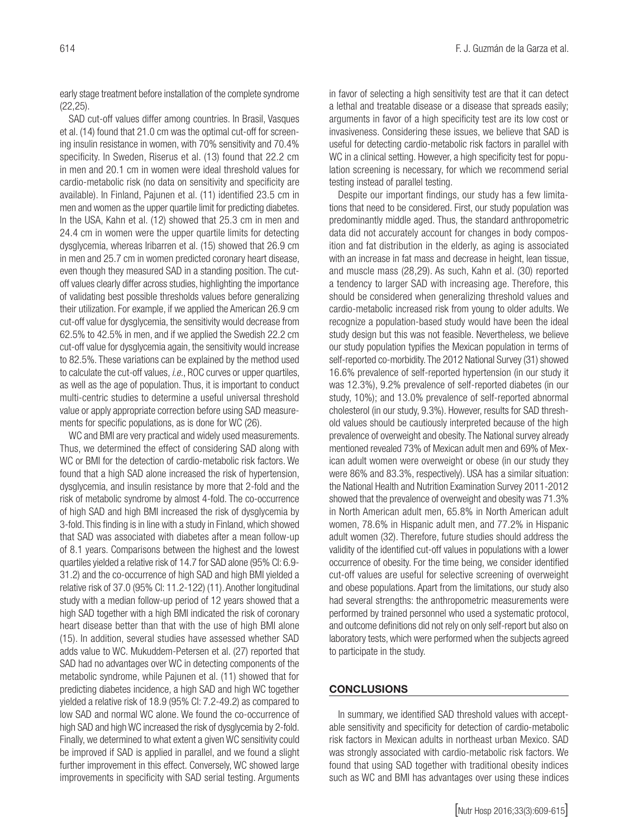early stage treatment before installation of the complete syndrome (22,25).

SAD cut-off values differ among countries. In Brasil, Vasques et al. (14) found that 21.0 cm was the optimal cut-off for screening insulin resistance in women, with 70% sensitivity and 70.4% specificity. In Sweden, Riserus et al. (13) found that 22.2 cm in men and 20.1 cm in women were ideal threshold values for cardio-metabolic risk (no data on sensitivity and specificity are available). In Finland, Pajunen et al. (11) identified 23.5 cm in men and women as the upper quartile limit for predicting diabetes. In the USA, Kahn et al. (12) showed that 25.3 cm in men and 24.4 cm in women were the upper quartile limits for detecting dysglycemia, whereas Iribarren et al. (15) showed that 26.9 cm in men and 25.7 cm in women predicted coronary heart disease, even though they measured SAD in a standing position. The cutoff values clearly differ across studies, highlighting the importance of validating best possible thresholds values before generalizing their utilization. For example, if we applied the American 26.9 cm cut-off value for dysglycemia, the sensitivity would decrease from 62.5% to 42.5% in men, and if we applied the Swedish 22.2 cm cut-off value for dysglycemia again, the sensitivity would increase to 82.5%. These variations can be explained by the method used to calculate the cut-off values, *i.e.*, ROC curves or upper quartiles, as well as the age of population. Thus, it is important to conduct multi-centric studies to determine a useful universal threshold value or apply appropriate correction before using SAD measurements for specific populations, as is done for WC (26).

WC and BMI are very practical and widely used measurements. Thus, we determined the effect of considering SAD along with WC or BMI for the detection of cardio-metabolic risk factors. We found that a high SAD alone increased the risk of hypertension, dysglycemia, and insulin resistance by more that 2-fold and the risk of metabolic syndrome by almost 4-fold. The co-occurrence of high SAD and high BMI increased the risk of dysglycemia by 3-fold. This finding is in line with a study in Finland, which showed that SAD was associated with diabetes after a mean follow-up of 8.1 years. Comparisons between the highest and the lowest quartiles yielded a relative risk of 14.7 for SAD alone (95% CI: 6.9- 31.2) and the co-occurrence of high SAD and high BMI yielded a relative risk of 37.0 (95% CI: 11.2-122) (11). Another longitudinal study with a median follow-up period of 12 years showed that a high SAD together with a high BMI indicated the risk of coronary heart disease better than that with the use of high BMI alone (15). In addition, several studies have assessed whether SAD adds value to WC. Mukuddem-Petersen et al. (27) reported that SAD had no advantages over WC in detecting components of the metabolic syndrome, while Pajunen et al. (11) showed that for predicting diabetes incidence, a high SAD and high WC together yielded a relative risk of 18.9 (95% CI: 7.2-49.2) as compared to low SAD and normal WC alone. We found the co-occurrence of high SAD and high WC increased the risk of dysglycemia by 2-fold. Finally, we determined to what extent a given WC sensitivity could be improved if SAD is applied in parallel, and we found a slight further improvement in this effect. Conversely, WC showed large improvements in specificity with SAD serial testing. Arguments in favor of selecting a high sensitivity test are that it can detect a lethal and treatable disease or a disease that spreads easily; arguments in favor of a high specificity test are its low cost or invasiveness. Considering these issues, we believe that SAD is useful for detecting cardio-metabolic risk factors in parallel with WC in a clinical setting. However, a high specificity test for population screening is necessary, for which we recommend serial testing instead of parallel testing.

Despite our important findings, our study has a few limitations that need to be considered. First, our study population was predominantly middle aged. Thus, the standard anthropometric data did not accurately account for changes in body composition and fat distribution in the elderly, as aging is associated with an increase in fat mass and decrease in height, lean tissue, and muscle mass (28,29). As such, Kahn et al. (30) reported a tendency to larger SAD with increasing age. Therefore, this should be considered when generalizing threshold values and cardio-metabolic increased risk from young to older adults. We recognize a population-based study would have been the ideal study design but this was not feasible. Nevertheless, we believe our study population typifies the Mexican population in terms of self-reported co-morbidity. The 2012 National Survey (31) showed 16.6% prevalence of self-reported hypertension (in our study it was 12.3%), 9.2% prevalence of self-reported diabetes (in our study, 10%); and 13.0% prevalence of self-reported abnormal cholesterol (in our study, 9.3%). However, results for SAD threshold values should be cautiously interpreted because of the high prevalence of overweight and obesity. The National survey already mentioned revealed 73% of Mexican adult men and 69% of Mexican adult women were overweight or obese (in our study they were 86% and 83.3%, respectively). USA has a similar situation: the National Health and Nutrition Examination Survey 2011-2012 showed that the prevalence of overweight and obesity was 71.3% in North American adult men, 65.8% in North American adult women, 78.6% in Hispanic adult men, and 77.2% in Hispanic adult women (32). Therefore, future studies should address the validity of the identified cut-off values in populations with a lower occurrence of obesity. For the time being, we consider identified cut-off values are useful for selective screening of overweight and obese populations. Apart from the limitations, our study also had several strengths: the anthropometric measurements were performed by trained personnel who used a systematic protocol, and outcome definitions did not rely on only self-report but also on laboratory tests, which were performed when the subjects agreed to participate in the study.

#### **CONCLUSIONS**

In summary, we identified SAD threshold values with acceptable sensitivity and specificity for detection of cardio-metabolic risk factors in Mexican adults in northeast urban Mexico. SAD was strongly associated with cardio-metabolic risk factors. We found that using SAD together with traditional obesity indices such as WC and BMI has advantages over using these indices